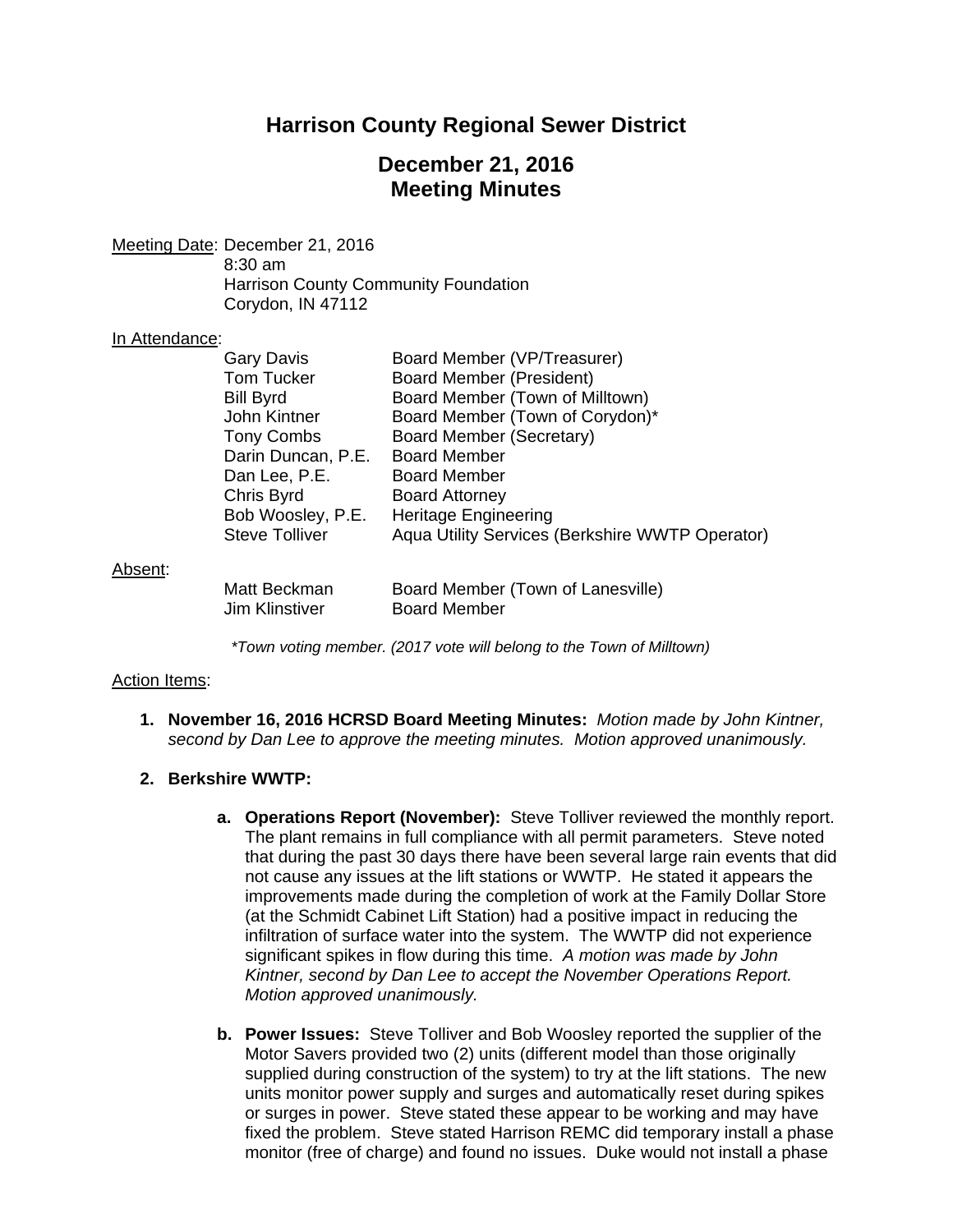# **Harrison County Regional Sewer District**

# **December 21, 2016 Meeting Minutes**

Meeting Date: December 21, 2016 8:30 am Harrison County Community Foundation Corydon, IN 47112

#### In Attendance:

|         | <b>Gary Davis</b>                     | Board Member (VP/Treasurer)                              |
|---------|---------------------------------------|----------------------------------------------------------|
|         | Tom Tucker                            | <b>Board Member (President)</b>                          |
|         | <b>Bill Byrd</b>                      | Board Member (Town of Milltown)                          |
|         | John Kintner                          | Board Member (Town of Corydon)*                          |
|         | Tony Combs                            | Board Member (Secretary)                                 |
|         | Darin Duncan, P.E. Board Member       |                                                          |
|         | Dan Lee, P.E.                         | <b>Board Member</b>                                      |
|         | Chris Byrd                            | <b>Board Attorney</b>                                    |
|         | Bob Woosley, P.E.                     | <b>Heritage Engineering</b>                              |
|         | <b>Steve Tolliver</b>                 | Aqua Utility Services (Berkshire WWTP Operator)          |
| Absent: |                                       |                                                          |
|         | Matt Beckman<br><b>Jim Klinstiver</b> | Board Member (Town of Lanesville)<br><b>Board Member</b> |

*\*Town voting member. (2017 vote will belong to the Town of Milltown)* 

#### Action Items:

**1. November 16, 2016 HCRSD Board Meeting Minutes:** *Motion made by John Kintner, second by Dan Lee to approve the meeting minutes. Motion approved unanimously.*

#### **2. Berkshire WWTP:**

- **a. Operations Report (November):** Steve Tolliver reviewed the monthly report. The plant remains in full compliance with all permit parameters. Steve noted that during the past 30 days there have been several large rain events that did not cause any issues at the lift stations or WWTP. He stated it appears the improvements made during the completion of work at the Family Dollar Store (at the Schmidt Cabinet Lift Station) had a positive impact in reducing the infiltration of surface water into the system. The WWTP did not experience significant spikes in flow during this time. *A motion was made by John Kintner, second by Dan Lee to accept the November Operations Report. Motion approved unanimously.*
- **b. Power Issues:** Steve Tolliver and Bob Woosley reported the supplier of the Motor Savers provided two (2) units (different model than those originally supplied during construction of the system) to try at the lift stations. The new units monitor power supply and surges and automatically reset during spikes or surges in power. Steve stated these appear to be working and may have fixed the problem. Steve stated Harrison REMC did temporary install a phase monitor (free of charge) and found no issues.Duke would not install a phase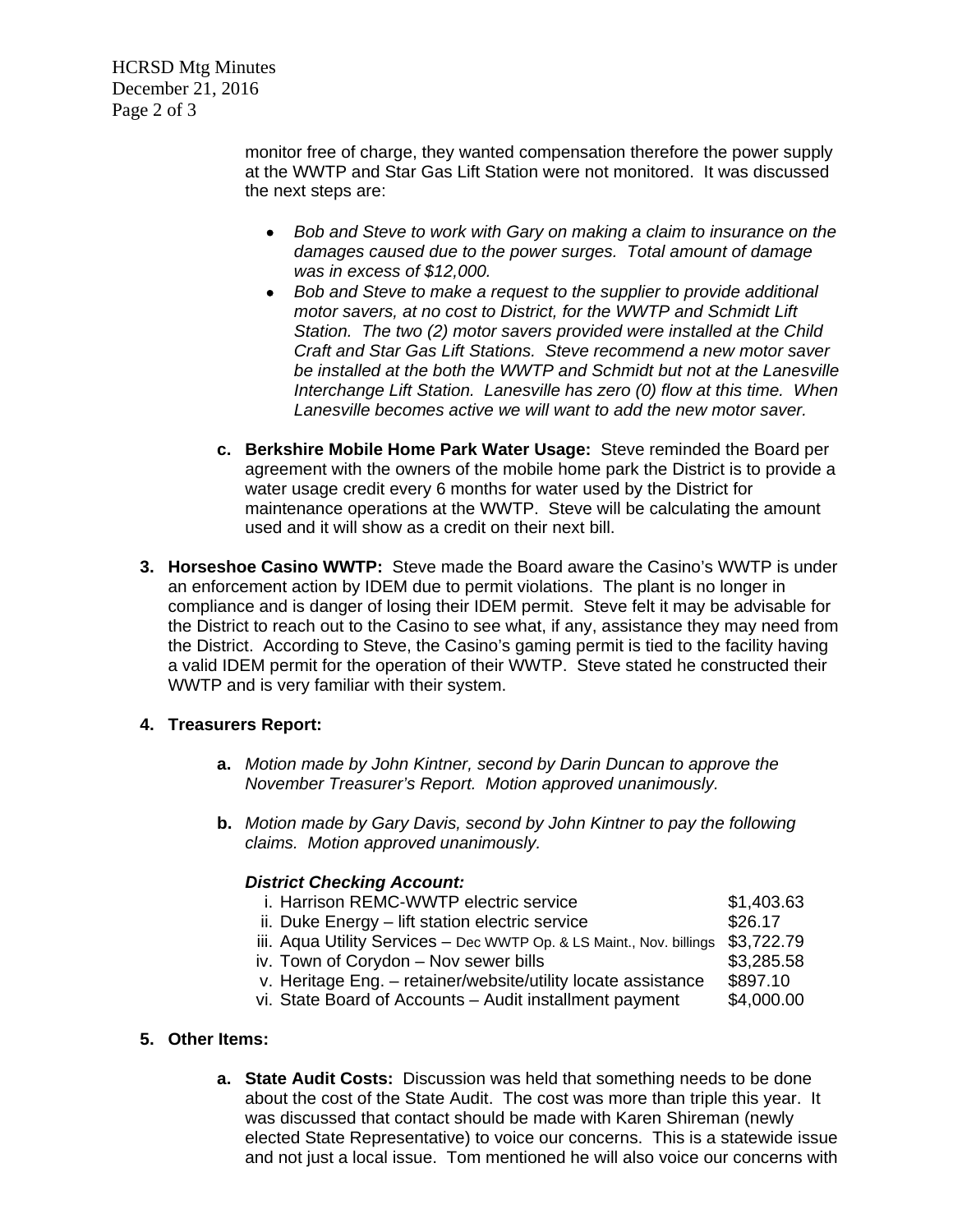HCRSD Mtg Minutes December 21, 2016 Page 2 of 3

> monitor free of charge, they wanted compensation therefore the power supply at the WWTP and Star Gas Lift Station were not monitored. It was discussed the next steps are:

- *Bob and Steve to work with Gary on making a claim to insurance on the damages caused due to the power surges. Total amount of damage was in excess of \$12,000.*
- *Bob and Steve to make a request to the supplier to provide additional motor savers, at no cost to District, for the WWTP and Schmidt Lift Station. The two (2) motor savers provided were installed at the Child Craft and Star Gas Lift Stations. Steve recommend a new motor saver be installed at the both the WWTP and Schmidt but not at the Lanesville Interchange Lift Station. Lanesville has zero (0) flow at this time. When Lanesville becomes active we will want to add the new motor saver.*
- **c. Berkshire Mobile Home Park Water Usage:** Steve reminded the Board per agreement with the owners of the mobile home park the District is to provide a water usage credit every 6 months for water used by the District for maintenance operations at the WWTP. Steve will be calculating the amount used and it will show as a credit on their next bill.
- **3. Horseshoe Casino WWTP:** Steve made the Board aware the Casino's WWTP is under an enforcement action by IDEM due to permit violations. The plant is no longer in compliance and is danger of losing their IDEM permit. Steve felt it may be advisable for the District to reach out to the Casino to see what, if any, assistance they may need from the District. According to Steve, the Casino's gaming permit is tied to the facility having a valid IDEM permit for the operation of their WWTP. Steve stated he constructed their WWTP and is very familiar with their system.

## **4. Treasurers Report:**

- **a.** *Motion made by John Kintner, second by Darin Duncan to approve the November Treasurer's Report. Motion approved unanimously.*
- **b.** *Motion made by Gary Davis, second by John Kintner to pay the following claims. Motion approved unanimously.*

## *District Checking Account:*

| i. Harrison REMC-WWTP electric service                               | \$1,403.63 |
|----------------------------------------------------------------------|------------|
| ii. Duke Energy - lift station electric service                      | \$26.17    |
| iii. Aqua Utility Services - Dec WWTP Op. & LS Maint., Nov. billings | \$3,722.79 |
| iv. Town of Corydon - Nov sewer bills                                | \$3,285.58 |
| v. Heritage Eng. - retainer/website/utility locate assistance        | \$897.10   |
| vi. State Board of Accounts - Audit installment payment              | \$4,000.00 |
|                                                                      |            |

## **5. Other Items:**

**a. State Audit Costs:** Discussion was held that something needs to be done about the cost of the State Audit. The cost was more than triple this year. It was discussed that contact should be made with Karen Shireman (newly elected State Representative) to voice our concerns. This is a statewide issue and not just a local issue. Tom mentioned he will also voice our concerns with